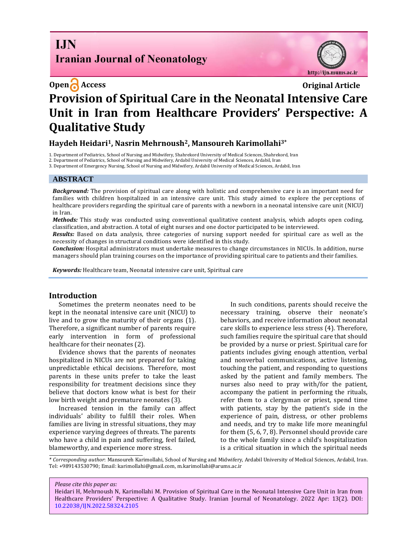# **I.IN Iranian Journal of Neonatology**



# **Open Access Original Article Provision of Spiritual Care in the Neonatal Intensive Care Unit in Iran from Healthcare Providers' Perspective: A Qualitative Study**

# **Haydeh Heidari1, Nasrin Mehrnoush2, Mansoureh Karimollahi3\***

1. Department of Pediatrics, School of Nursing and Midwifery, Shahrekord University of Medical Sciences, Shahrekord, Iran

2. Department of Pediatrics, School of Nursing and Midwifery, Ardabil University of Medical Sciences, Ardabil, Iran

3. Department of Emergency Nursing, School of Nursing and Midwifery, Ardabil University of Medical Sciences, Ardabil, Iran

#### **ABSTRACT**

*Background:* The provision of spiritual care along with holistic and comprehensive care is an important need for families with children hospitalized in an intensive care unit. This study aimed to explore the perceptions of healthcare providers regarding the spiritual care of parents with a newborn in a neonatal intensive care unit (NICU) in Iran.

*Methods:* This study was conducted using conventional qualitative content analysis, which adopts open coding, classification, and abstraction. A total of eight nurses and one doctor participated to be interviewed.

*Results:* Based on data analysis, three categories of nursing support needed for spiritual care as well as the necessity of changes in structural conditions were identified in this study.

*Conclusion:* Hospital administrators must undertake measures to change circumstances in NICUs. In addition, nurse managers should plan training courses on the importance of providing spiritual care to patients and their families.

*Keywords:* Healthcare team, Neonatal intensive care unit, Spiritual care

#### **Introduction**

Sometimes the preterm neonates need to be kept in the neonatal intensive care unit (NICU) to live and to grow the maturity of their organs (1). Therefore, a significant number of parents require early intervention in form of professional healthcare for their neonates (2).

Evidence shows that the parents of neonates hospitalized in NICUs are not prepared for taking unpredictable ethical decisions. Therefore, most parents in these units prefer to take the least responsibility for treatment decisions since they believe that doctors know what is best for their low birth weight and premature neonates (3).

Increased tension in the family can affect individuals' ability to fulfill their roles. When families are living in stressful situations, they may experience varying degrees of threats. The parents who have a child in pain and suffering, feel failed, blameworthy, and experience more stress.

In such conditions, parents should receive the necessary training, observe their neonate's behaviors, and receive information about neonatal care skills to experience less stress (4). Therefore, such families require the spiritual care that should be provided by a nurse or priest. Spiritual care for patients includes giving enough attention, verbal and nonverbal communications, active listening, touching the patient, and responding to questions asked by the patient and family members. The nurses also need to pray with/for the patient, accompany the patient in performing the rituals, refer them to a clergyman or priest, spend time with patients, stay by the patient's side in the experience of pain, distress, or other problems and needs, and try to make life more meaningful for them (5, 6, 7, 8). Personnel should provide care to the whole family since a child's hospitalization is a critical situation in which the spiritual needs

*\* Corresponding author*: Mansoureh Karimollahi, School of Nursing and Midwifery, Ardabil University of Medical Sciences, Ardabil, Iran. Tel: +989143530790; Email[: karimollahi@gmail.com,](mailto:karimollahi@gmail.com) m.karimollahi@arums.ac.ir

*Please cite this paper as:*

Heidari H, Mehrnoush N, Karimollahi M. Provision of Spiritual Care in the Neonatal Intensive Care Unit in Iran from Healthcare Providers' Perspective: A Qualitative Study. Iranian Journal of Neonatology. 2022 Apr: 13(2). DOI: [10.22038/IJN.2022.58324.2105](https://ijn.mums.ac.ir/)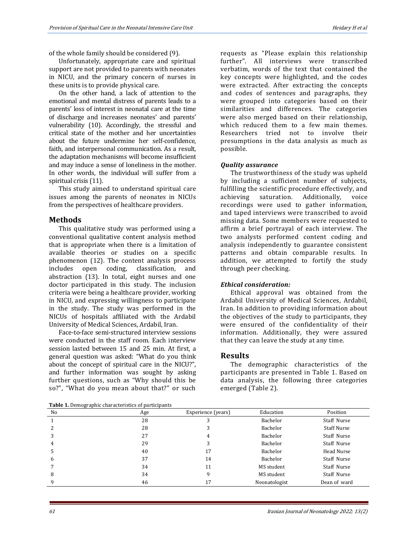of the whole family should be considered (9).

Unfortunately, appropriate care and spiritual support are not provided to parents with neonates in NICU, and the primary concern of nurses in these units is to provide physical care.

On the other hand, a lack of attention to the emotional and mental distress of parents leads to a parents' loss of interest in neonatal care at the time of discharge and increases neonates' and parents' vulnerability (10). Accordingly, the stressful and critical state of the mother and her uncertainties about the future undermine her self-confidence, faith, and interpersonal communication. As a result, the adaptation mechanisms will become insufficient and may induce a sense of loneliness in the mother. In other words, the individual will suffer from a spiritual crisis (11).

This study aimed to understand spiritual care issues among the parents of neonates in NICUs from the perspectives of healthcare providers.

## **Methods**

This qualitative study was performed using a conventional qualitative content analysis method that is appropriate when there is a limitation of available theories or studies on a specific phenomenon (12). The content analysis process includes open coding, classification, and abstraction (13). In total, eight nurses and one doctor participated in this study. The inclusion criteria were being a healthcare provider, working in NICU, and expressing willingness to participate in the study. The study was performed in the NICUs of hospitals affiliated with the Ardabil University of Medical Sciences, Ardabil, Iran.

Face-to-face semi-structured interview sessions were conducted in the staff room. Each interview session lasted between 15 and 25 min. At first, a general question was asked: "What do you think about the concept of spiritual care in the NICU?", and further information was sought by asking further questions, such as "Why should this be so?", "What do you mean about that?" or such

**Table 1.** Demographic characteristics of participants

requests as "Please explain this relationship further". All interviews were transcribed verbatim, words of the text that contained the key concepts were highlighted, and the codes were extracted. After extracting the concepts and codes of sentences and paragraphs, they were grouped into categories based on their similarities and differences. The categories were also merged based on their relationship, which reduced them to a few main themes. Researchers tried not to involve their presumptions in the data analysis as much as possible.

#### *Quality assurance*

The trustworthiness of the study was upheld by including a sufficient number of subjects, fulfilling the scientific procedure effectively, and achieving saturation. Additionally, voice recordings were used to gather information, and taped interviews were transcribed to avoid missing data. Some members were requested to affirm a brief portrayal of each interview. The two analysts performed content coding and analysis independently to guarantee consistent patterns and obtain comparable results. In addition, we attempted to fortify the study through peer checking.

## *Ethical consideration:*

Ethical approval was obtained from the Ardabil University of Medical Sciences, Ardabil, Iran. In addition to providing information about the objectives of the study to participants, they were ensured of the confidentiality of their information. Additionally, they were assured that they can leave the study at any time.

## **Results**

The demographic characteristics of the participants are presented in Table 1. Based on data analysis, the following three categories emerged (Table 2).

| <b>Table 1.</b> Defined applie cliaracteristics of participants |     |                    |               |                    |
|-----------------------------------------------------------------|-----|--------------------|---------------|--------------------|
| No                                                              | Age | Experience (years) | Education     | Position           |
|                                                                 | 28  |                    | Bachelor      | Staff Nurse        |
|                                                                 | 28  |                    | Bachelor      | <b>Staff Nurse</b> |
| 3                                                               | 27  | 4                  | Bachelor      | Staff Nurse        |
| 4                                                               | 29  |                    | Bachelor      | Staff Nurse        |
| 5                                                               | 40  | 17                 | Bachelor      | Head Nurse         |
| 6                                                               | 37  | 14                 | Bachelor      | Staff Nurse        |
|                                                                 | 34  | 11                 | MS student    | Staff Nurse        |
| 8                                                               | 34  | q                  | MS student    | Staff Nurse        |
| q                                                               | 46  |                    | Neonatologist | Dean of ward       |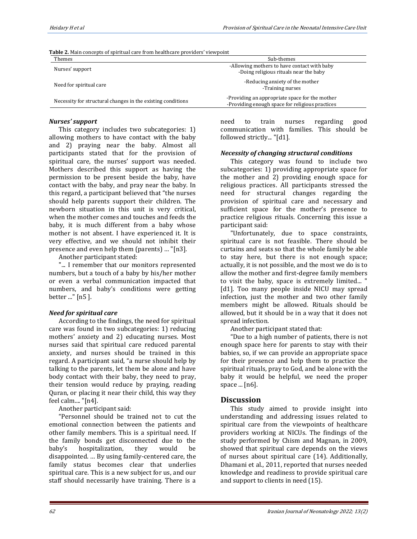|  | Table 2. Main concepts of spiritual care from healthcare providers' viewpoint |  |
|--|-------------------------------------------------------------------------------|--|

| Themes                                                      | Sub-themes                                                                                        |  |
|-------------------------------------------------------------|---------------------------------------------------------------------------------------------------|--|
| Nurses' support                                             | -Allowing mothers to have contact with baby<br>-Doing religious rituals near the baby             |  |
| Need for spiritual care                                     | -Reducing anxiety of the mother<br>-Training nurses                                               |  |
| Necessity for structural changes in the existing conditions | -Providing an appropriate space for the mother<br>-Providing enough space for religious practices |  |

#### *Nurses' support*

This category includes two subcategories: 1) allowing mothers to have contact with the baby and 2) praying near the baby. Almost all participants stated that for the provision of spiritual care, the nurses' support was needed. Mothers described this support as having the permission to be present beside the baby, have contact with the baby, and pray near the baby. In this regard, a participant believed that "the nurses should help parents support their children. The newborn situation in this unit is very critical, when the mother comes and touches and feeds the baby, it is much different from a baby whose mother is not absent. I have experienced it. It is very effective, and we should not inhibit their presence and even help them (parents) … "[n3].

Another participant stated:

"... I remember that our monitors represented numbers, but a touch of a baby by his/her mother or even a verbal communication impacted that numbers, and baby's conditions were getting better ..." [n5 ].

#### *Need for spiritual care*

According to the findings, the need for spiritual care was found in two subcategories: 1) reducing mothers' anxiety and 2) educating nurses. Most nurses said that spiritual care reduced parental anxiety, and nurses should be trained in this regard. A participant said, "a nurse should help by talking to the parents, let them be alone and have body contact with their baby, they need to pray, their tension would reduce by praying, reading Quran, or placing it near their child, this way they feel calm.... "[n4].

Another participant said:

"Personnel should be trained not to cut the emotional connection between the patients and other family members. This is a spiritual need. If the family bonds get disconnected due to the baby's hospitalization, they would be disappointed. … By using family-centered care, the family status becomes clear that underlies spiritual care. This is a new subject for us, and our staff should necessarily have training. There is a need to train nurses regarding good communication with families. This should be followed strictly... "[d1].

#### *Necessity of changing structural conditions*

This category was found to include two subcategories: 1) providing appropriate space for the mother and 2) providing enough space for religious practices. All participants stressed the need for structural changes regarding the provision of spiritual care and necessary and sufficient space for the mother's presence to practice religious rituals. Concerning this issue a participant said:

"Unfortunately, due to space constraints, spiritual care is not feasible. There should be curtains and seats so that the whole family be able to stay here, but there is not enough space; actually, it is not possible, and the most we do is to allow the mother and first-degree family members to visit the baby, space is extremely limited... " [d1]. Too many people inside NICU may spread infection, just the mother and two other family members might be allowed. Rituals should be allowed, but it should be in a way that it does not spread infection.

Another participant stated that:

"Due to a high number of patients, there is not enough space here for parents to stay with their babies, so, if we can provide an appropriate space for their presence and help them to practice the spiritual rituals, pray to God, and be alone with the baby it would be helpful, we need the proper space ... [n6].

# **Discussion**

This study aimed to provide insight into understanding and addressing issues related to spiritual care from the viewpoints of healthcare providers working at NICUs. The findings of the study performed by Chism and Magnan, in 2009, showed that spiritual care depends on the views of nurses about spiritual care (14). Additionally, Dhamani et al., 2011, reported that nurses needed knowledge and readiness to provide spiritual care and support to clients in need (15).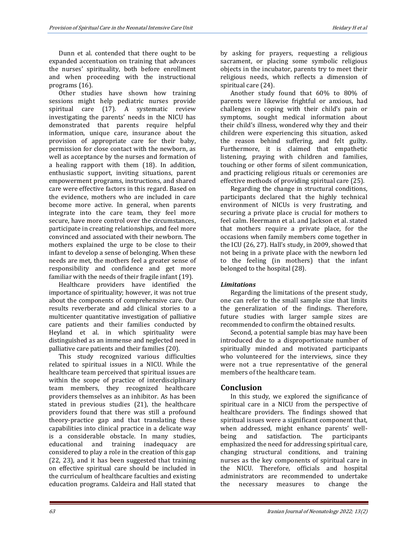Dunn et al. contended that there ought to be expanded accentuation on training that advances the nurses' spirituality, both before enrollment and when proceeding with the instructional programs (16).

Other studies have shown how training sessions might help pediatric nurses provide spiritual care (17). A systematic review investigating the parents' needs in the NICU has demonstrated that parents require helpful information, unique care, insurance about the provision of appropriate care for their baby, permission for close contact with the newborn, as well as acceptance by the nurses and formation of a healing rapport with them (18). In addition, enthusiastic support, inviting situations, parent empowerment programs, instructions, and shared care were effective factors in this regard. Based on the evidence, mothers who are included in care become more active. In general, when parents integrate into the care team, they feel more secure, have more control over the circumstances, participate in creating relationships, and feel more convinced and associated with their newborn. The mothers explained the urge to be close to their infant to develop a sense of belonging. When these needs are met, the mothers feel a greater sense of responsibility and confidence and get more familiar with the needs of their fragile infant (19).

Healthcare providers have identified the importance of spirituality; however, it was not true about the components of comprehensive care. Our results reverberate and add clinical stories to a multicenter quantitative investigation of palliative care patients and their families conducted by Heyland et al. in which spirituality were distinguished as an immense and neglected need in palliative care patients and their families (20).

This study recognized various difficulties related to spiritual issues in a NICU. While the healthcare team perceived that spiritual issues are within the scope of practice of interdisciplinary team members, they recognized healthcare providers themselves as an inhibitor. As has been stated in previous studies (21), the healthcare providers found that there was still a profound theory-practice gap and that translating these capabilities into clinical practice in a delicate way is a considerable obstacle. In many studies, educational and training inadequacy are considered to play a role in the creation of this gap (22, 23), and it has been suggested that training on effective spiritual care should be included in the curriculum of healthcare faculties and existing education programs. Caldeira and Hall stated that by asking for prayers, requesting a religious sacrament, or placing some symbolic religious objects in the incubator, parents try to meet their religious needs, which reflects a dimension of spiritual care (24).

Another study found that 60% to 80% of parents were likewise frightful or anxious, had challenges in coping with their child's pain or symptoms, sought medical information about their child's illness, wondered why they and their children were experiencing this situation, asked the reason behind suffering, and felt guilty. Furthermore, it is claimed that empathetic listening, praying with children and families, touching or other forms of silent communication, and practicing religious rituals or ceremonies are effective methods of providing spiritual care (25).

Regarding the change in structural conditions, participants declared that the highly technical environment of NICUs is very frustrating, and securing a private place is crucial for mothers to feel calm. Heermann et al. and Jackson et al. stated that mothers require a private place, for the occasions when family members come together in the ICU (26, 27). Hall's study, in 2009, showed that not being in a private place with the newborn led to the feeling (in mothers) that the infant belonged to the hospital (28).

# *Limitations*

Regarding the limitations of the present study, one can refer to the small sample size that limits the generalization of the findings. Therefore, future studies with larger sample sizes are recommended to confirm the obtained results.

Second, a potential sample bias may have been introduced due to a disproportionate number of spiritually minded and motivated participants who volunteered for the interviews, since they were not a true representative of the general members of the healthcare team.

# **Conclusion**

In this study, we explored the significance of spiritual care in a NICU from the perspective of healthcare providers. The findings showed that spiritual issues were a significant component that, when addressed, might enhance parents' wellbeing and satisfaction. The participants emphasized the need for addressing spiritual care, changing structural conditions, and training nurses as the key components of spiritual care in the NICU. Therefore, officials and hospital administrators are recommended to undertake the necessary measures to change the